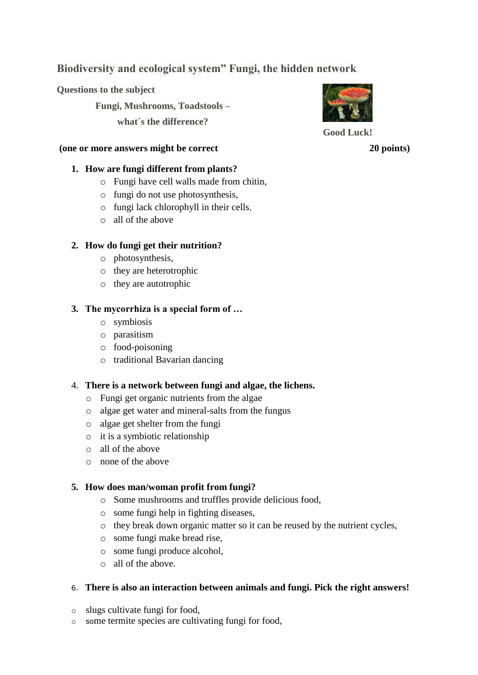# **Biodiversity and ecological system" Fungi, the hidden network**

**Questions to the subject**

**Fungi, Mushrooms, Toadstools –**

**what´s the difference?**

#### **(one or more answers might be correct 20 points)**

### **1. How are fungi different from plants?**

- o Fungi have cell walls made from chitin,
- o fungi do not use photosynthesis,
- o fungi lack chlorophyll in their cells.
- o all of the above

### **2. How do fungi get their nutrition?**

- o photosynthesis,
- o they are heterotrophic
- o they are autotrophic

## **3. The mycorrhiza is a special form of …**

- o symbiosis
- o parasitism
- o food-poisoning
- o traditional Bavarian dancing

## 4. **There is a network between fungi and algae, the lichens.**

- o Fungi get organic nutrients from the algae
- o algae get water and mineral-salts from the fungus
- o algae get shelter from the fungi
- o it is a symbiotic relationship
- o all of the above
- o none of the above

## **5. How does man/woman profit from fungi?**

- o Some mushrooms and truffles provide delicious food,
- o some fungi help in fighting diseases,
- o they break down organic matter so it can be reused by the nutrient cycles,
- o some fungi make bread rise,
- o some fungi produce alcohol,
- o all of the above.

## 6. **There is also an interaction between animals and fungi. Pick the right answers!**

- o slugs cultivate fungi for food,
- o some termite species are cultivating fungi for food,



**Good Luck!**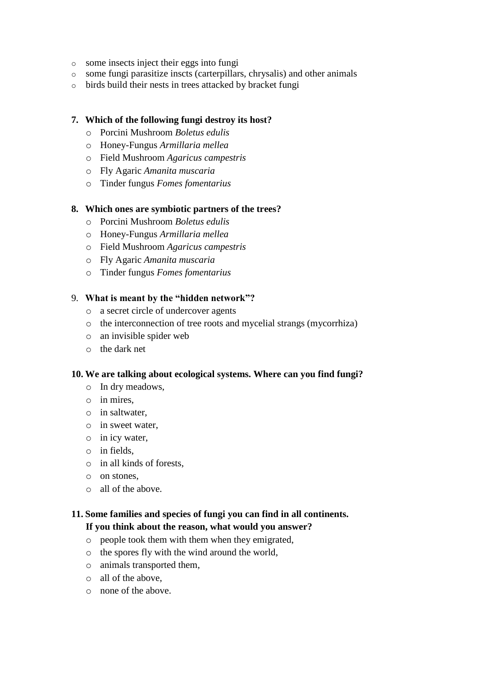- o some insects inject their eggs into fungi
- o some fungi parasitize inscts (carterpillars, chrysalis) and other animals
- o birds build their nests in trees attacked by bracket fungi

### **7. Which of the following fungi destroy its host?**

- o Porcini Mushroom *Boletus edulis*
- o Honey-Fungus *Armillaria mellea*
- o Field Mushroom *Agaricus campestris*
- o Fly Agaric *Amanita muscaria*
- o Tinder fungus *Fomes fomentarius*

#### **8. Which ones are symbiotic partners of the trees?**

- o Porcini Mushroom *Boletus edulis*
- o Honey-Fungus *Armillaria mellea*
- o Field Mushroom *Agaricus campestris*
- o Fly Agaric *Amanita muscaria*
- o Tinder fungus *Fomes fomentarius*

#### 9. **What is meant by the "hidden network"?**

- o a secret circle of undercover agents
- o the interconnection of tree roots and mycelial strangs (mycorrhiza)
- o an invisible spider web
- o the dark net

#### **10. We are talking about ecological systems. Where can you find fungi?**

- o In dry meadows,
- o in mires,
- o in saltwater,
- o in sweet water,
- o in icy water,
- o in fields,
- o in all kinds of forests,
- o on stones,
- o all of the above.

## **11. Some families and species of fungi you can find in all continents. If you think about the reason, what would you answer?**

- o people took them with them when they emigrated,
- o the spores fly with the wind around the world,
- o animals transported them,
- o all of the above,
- o none of the above.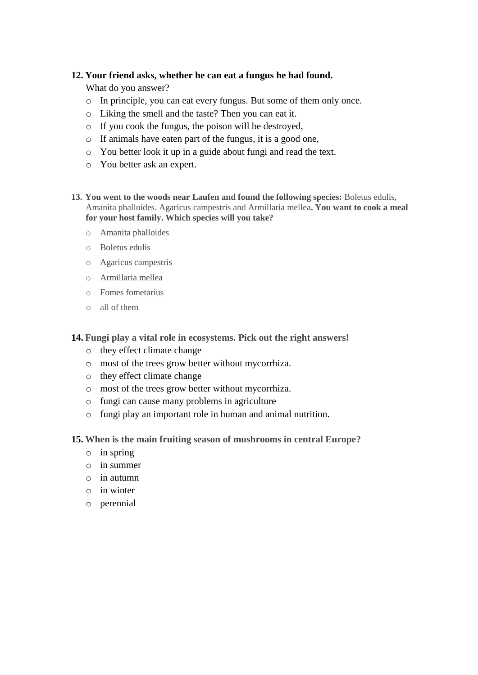### **12. Your friend asks, whether he can eat a fungus he had found.**

What do you answer?

- o In principle, you can eat every fungus. But some of them only once.
- o Liking the smell and the taste? Then you can eat it.
- o If you cook the fungus, the poison will be destroyed,
- o If animals have eaten part of the fungus, it is a good one,
- o You better look it up in a guide about fungi and read the text.
- o You better ask an expert.
- **13. You went to the woods near Laufen and found the following species:** Boletus edulis, Amanita phalloides. Agaricus campestris and Armillaria mellea**. You want to cook a meal for your host family. Which species will you take?**
	- o Amanita phalloides
	- o Boletus edulis
	- o Agaricus campestris
	- o Armillaria mellea
	- o Fomes fometarius
	- o all of them

**14. Fungi play a vital role in ecosystems. Pick out the right answers!**

- o they effect climate change
- o most of the trees grow better without mycorrhiza.
- o they effect climate change
- o most of the trees grow better without mycorrhiza.
- o fungi can cause many problems in agriculture
- o fungi play an important role in human and animal nutrition.
- **15. When is the main fruiting season of mushrooms in central Europe?**
	- o in spring
	- o in summer
	- o in autumn
	- o in winter
	- o perennial